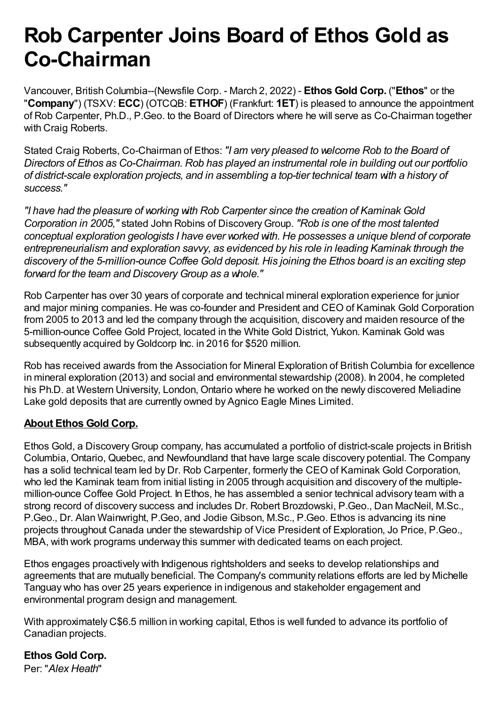# **Rob Carpenter Joins Board of Ethos Gold as Co-Chairman**

Vancouver, British Columbia--(Newsfile Corp. - March 2, 2022) - **Ethos Gold Corp.** ("**Ethos**" or the "**Company**") (TSXV: **ECC**) (OTCQB: **ETHOF**) (Frankfurt: **1ET**) is pleased to announce the appointment of Rob Carpenter, Ph.D., P.Geo. to the Board of Directors where he will serve as Co-Chairman together with Craig Roberts.

Stated Craig Roberts, Co-Chairman of Ethos: *"I am very pleased to welcome Rob to the Board of Directors of Ethos as Co-Chairman. Rob has played an instrumental role in building out our portfolio of district-scale exploration projects, and in assembling a top-tier technical team with a history of success."*

*"I have had the pleasure of working with Rob Carpenter since the creation of Kaminak Gold Corporation in 2005,"* stated John Robins of DiscoveryGroup. *"Rob is one of the most talented conceptual exploration geologists I have ever worked with. He possesses a unique blend of corporate entrepreneurialism and exploration savvy, as evidenced by his role in leading Kaminak through the discovery of the 5-million-ounce Coffee Gold deposit. His joining the Ethos board is an exciting step forward for the team and Discovery Group as a whole."*

Rob Carpenter has over 30 years of corporate and technical mineral exploration experience for junior and major mining companies. He was co-founder and President and CEO of Kaminak Gold Corporation from 2005 to 2013 and led the company through the acquisition, discovery and maiden resource of the 5-million-ounce Coffee Gold Project, located in the White Gold District, Yukon. Kaminak Gold was subsequently acquired by Goldcorp Inc. in 2016 for \$520 million.

Rob has received awards from the Association for Mineral Exploration of British Columbia for excellence in mineral exploration (2013) and social and environmental stewardship (2008). In 2004, he completed his Ph.D. at Western University, London, Ontario where he worked on the newly discovered Meliadine Lake gold deposits that are currently owned by Agnico Eagle Mines Limited.

## **About Ethos Gold Corp.**

Ethos Gold, a DiscoveryGroup company, has accumulated a portfolio of district-scale projects in British Columbia, Ontario, Quebec, and Newfoundland that have large scale discovery potential. The Company has a solid technical team led by Dr. Rob Carpenter, formerly the CEO of Kaminak Gold Corporation, who led the Kaminak team from initial listing in 2005 through acquisition and discovery of the multiplemillion-ounce Coffee Gold Project. In Ethos, he has assembled a senior technical advisory team with a strong record of discovery success and includes Dr. Robert Brozdowski, P.Geo., Dan MacNeil, M.Sc., P.Geo., Dr. Alan Wainwright, P.Geo, and Jodie Gibson, M.Sc., P.Geo. Ethos is advancing its nine projects throughout Canada under the stewardship of Vice President of Exploration, Jo Price, P.Geo., MBA, with work programs underway this summer with dedicated teams on each project.

Ethos engages proactively with Indigenous rightsholders and seeks to develop relationships and agreements that are mutually beneficial. The Company's community relations efforts are led by Michelle Tanguay who has over 25 years experience in indigenous and stakeholder engagement and environmental program design and management.

With approximately C\$6.5 million in working capital, Ethos is well funded to advance its portfolio of Canadian projects.

# **Ethos Gold Corp.**

Per: "*Alex Heath*"